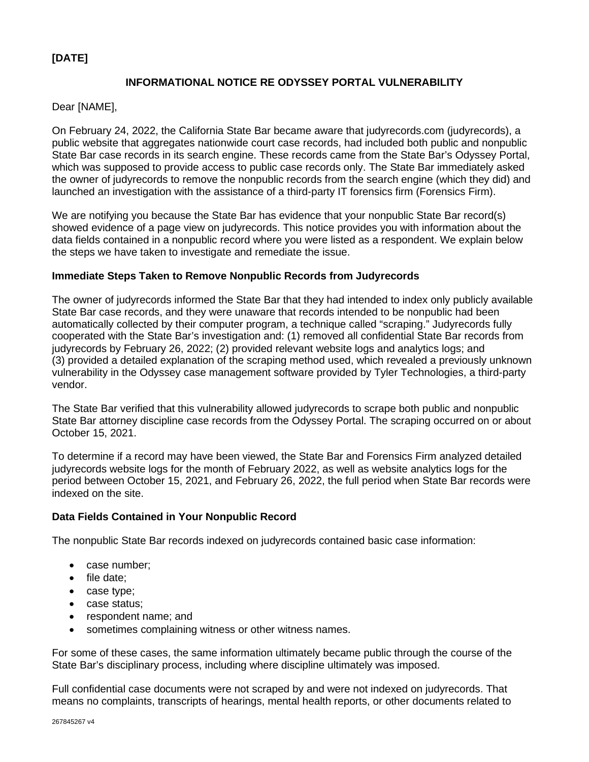# **[DATE]**

# **INFORMATIONAL NOTICE RE ODYSSEY PORTAL VULNERABILITY**

## Dear [NAME],

On February 24, 2022, the California State Bar became aware that judyrecords.com (judyrecords), a public website that aggregates nationwide court case records, had included both public and nonpublic State Bar case records in its search engine. These records came from the State Bar's Odyssey Portal, which was supposed to provide access to public case records only. The State Bar immediately asked the owner of judyrecords to remove the nonpublic records from the search engine (which they did) and launched an investigation with the assistance of a third-party IT forensics firm (Forensics Firm).

We are notifying you because the State Bar has evidence that your nonpublic State Bar record(s) showed evidence of a page view on judyrecords. This notice provides you with information about the data fields contained in a nonpublic record where you were listed as a respondent. We explain below the steps we have taken to investigate and remediate the issue.

### **Immediate Steps Taken to Remove Nonpublic Records from Judyrecords**

The owner of judyrecords informed the State Bar that they had intended to index only publicly available State Bar case records, and they were unaware that records intended to be nonpublic had been automatically collected by their computer program, a technique called "scraping." Judyrecords fully cooperated with the State Bar's investigation and: (1) removed all confidential State Bar records from judyrecords by February 26, 2022; (2) provided relevant website logs and analytics logs; and (3) provided a detailed explanation of the scraping method used, which revealed a previously unknown vulnerability in the Odyssey case management software provided by Tyler Technologies, a third-party vendor.

The State Bar verified that this vulnerability allowed judyrecords to scrape both public and nonpublic State Bar attorney discipline case records from the Odyssey Portal. The scraping occurred on or about October 15, 2021.

To determine if a record may have been viewed, the State Bar and Forensics Firm analyzed detailed judyrecords website logs for the month of February 2022, as well as website analytics logs for the period between October 15, 2021, and February 26, 2022, the full period when State Bar records were indexed on the site.

#### **Data Fields Contained in Your Nonpublic Record**

The nonpublic State Bar records indexed on judyrecords contained basic case information:

- case number;
- file date;
- case type;
- case status;
- respondent name; and
- sometimes complaining witness or other witness names.

For some of these cases, the same information ultimately became public through the course of the State Bar's disciplinary process, including where discipline ultimately was imposed.

Full confidential case documents were not scraped by and were not indexed on judyrecords. That means no complaints, transcripts of hearings, mental health reports, or other documents related to